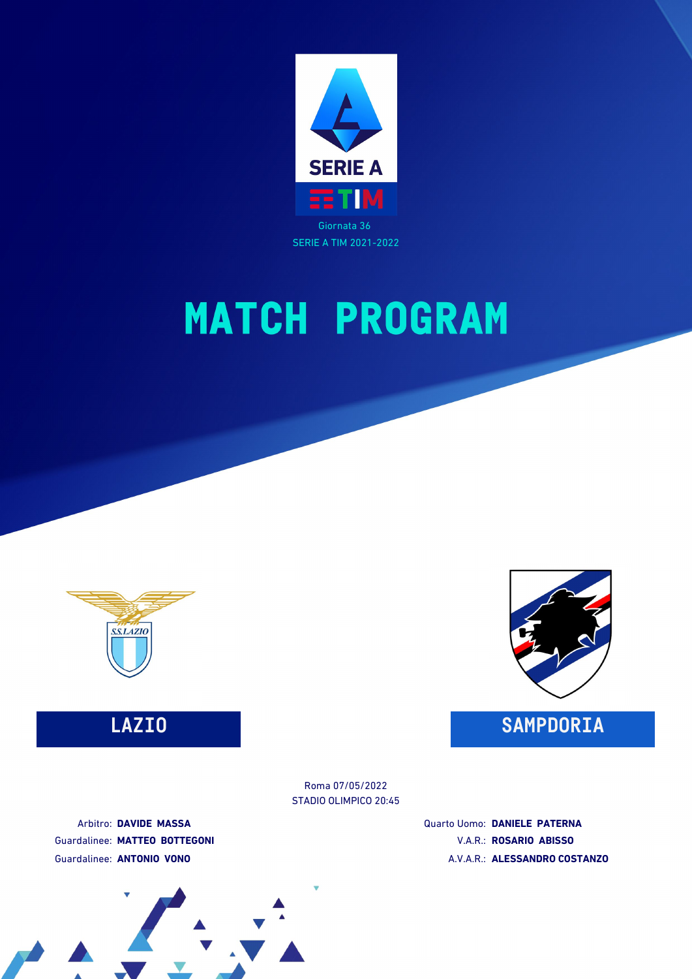

SERIE A TIM 2021-2022

# **MATCH PROGRAM**



### **LAZIO SAMPDORIA**



STADIO OLIMPICO 20:45 Roma 07/05/2022

Arbitro: **DAVIDE MASSA** Guardalinee: **MATTEO BOTTEGONI** Guardalinee: **ANTONIO VONO**

Quarto Uomo: **DANIELE PATERNA** V.A.R.: **ROSARIO ABISSO** A.V.A.R.: **ALESSANDRO COSTANZO**

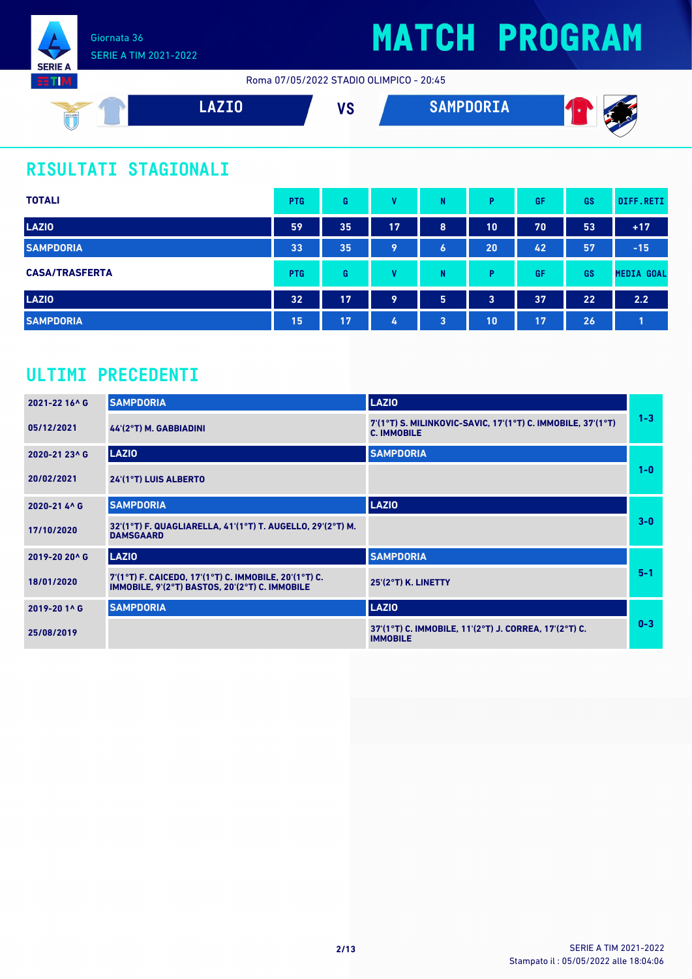

Roma 07/05/2022 STADIO OLIMPICO - 20:45



### **RISULTATI STAGIONALI**

| <b>TOTALI</b>         | <b>PTG</b> | G  | v         | N | P. | GF | <b>GS</b> | DIFF.RETI         |
|-----------------------|------------|----|-----------|---|----|----|-----------|-------------------|
| <b>LAZIO</b>          | 59         | 35 | <b>17</b> | 8 | 10 | 70 | 53        | $+17$             |
| <b>SAMPDORIA</b>      | 33         | 35 | 9         | 6 | 20 | 42 | 57        | $-15$             |
| <b>CASA/TRASFERTA</b> | <b>PTG</b> | G  | v         | N | P  | GF | <b>GS</b> | <b>MEDIA GOAL</b> |
| <b>LAZIO</b>          | 32         | 17 | 9         | 5 | 3  | 37 | 22        | 2.2               |
| <b>SAMPDORIA</b>      | 15         | 17 | 4         | 3 | 10 | 17 | 26        |                   |

### **ULTIMI PRECEDENTI**

| 2021-22 16^ G | <b>SAMPDORIA</b>                                                                                        | <b>LAZIO</b>                                                                      |         |
|---------------|---------------------------------------------------------------------------------------------------------|-----------------------------------------------------------------------------------|---------|
| 05/12/2021    | $44'(2°T)$ M. GABBIADINI                                                                                | 7'(1°T) S. MILINKOVIC-SAVIC, 17'(1°T) C. IMMOBILE, 37'(1°T)<br><b>C. IMMOBILE</b> | $1 - 3$ |
| 2020-21 23^ G | <b>LAZIO</b>                                                                                            | <b>SAMPDORIA</b>                                                                  |         |
| 20/02/2021    | 24'(1°T) LUIS ALBERTO                                                                                   |                                                                                   | $1 - 0$ |
| 2020-21 4^ G  | <b>SAMPDORIA</b>                                                                                        | <b>LAZIO</b>                                                                      |         |
| 17/10/2020    | 32'(1°T) F. QUAGLIARELLA, 41'(1°T) T. AUGELLO, 29'(2°T) M.<br><b>DAMSGAARD</b>                          |                                                                                   | $3-0$   |
| 2019-20 20^ G | <b>LAZIO</b>                                                                                            | <b>SAMPDORIA</b>                                                                  |         |
| 18/01/2020    | 7'(1°T) F. CAICEDO, 17'(1°T) C. IMMOBILE, 20'(1°T) C.<br>IMMOBILE, 9'(2°T) BASTOS, 20'(2°T) C. IMMOBILE | 25'(2°T) K. LINETTY                                                               | $5 - 1$ |
| 2019-20 1^ G  | <b>SAMPDORIA</b>                                                                                        | <b>LAZIO</b>                                                                      |         |
| 25/08/2019    |                                                                                                         | 37'(1°T) C. IMMOBILE, 11'(2°T) J. CORREA, 17'(2°T) C.<br><b>IMMOBILE</b>          | $0 - 3$ |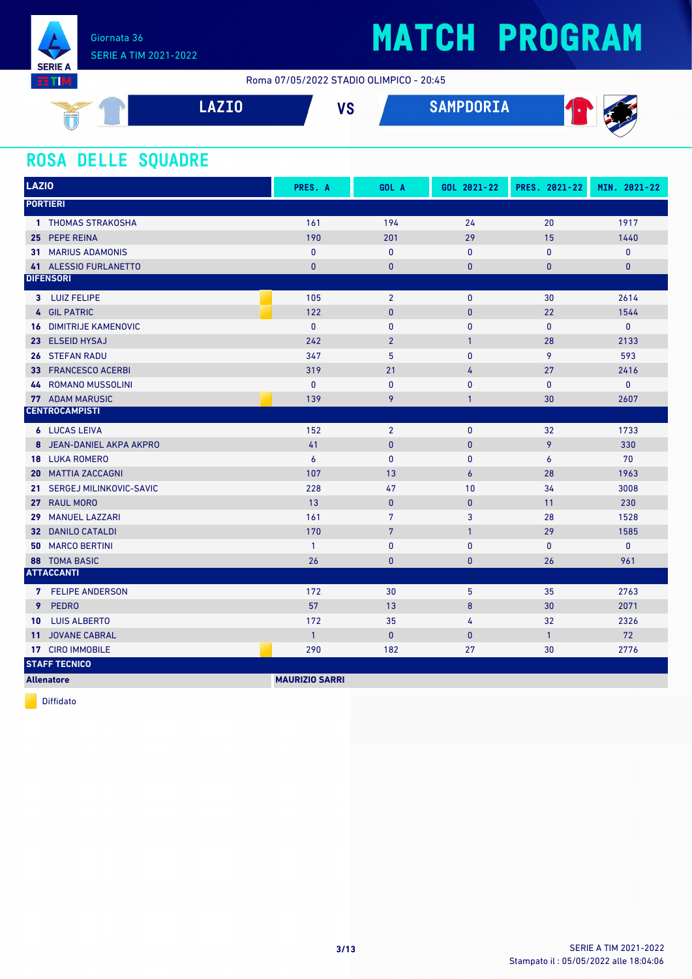

Roma 07/05/2022 STADIO OLIMPICO - 20:45

| SSLAZIC | 1770 | $\mathbf{u}$ | SAMPDORIA<br>A TIME | Æ.<br>× |
|---------|------|--------------|---------------------|---------|
|         |      |              |                     |         |

#### **ROSA DELLE SQUADRE**

| <b>LAZIO</b>                             | PRES. A               | GOL A          | GOL 2021-22      | PRES. 2021-22  | MIN. 2021-22 |  |  |  |  |
|------------------------------------------|-----------------------|----------------|------------------|----------------|--------------|--|--|--|--|
| <b>PORTIERI</b>                          |                       |                |                  |                |              |  |  |  |  |
| 1 THOMAS STRAKOSHA                       | 161                   | 194            | 24               | 20             | 1917         |  |  |  |  |
| 25 PEPE REINA                            | 190                   | 201            | 29               | 15             | 1440         |  |  |  |  |
| <b>31 MARIUS ADAMONIS</b>                | $\mathbf{0}$          | $\mathbf{0}$   | $\mathbf{0}$     | 0              | $\pmb{0}$    |  |  |  |  |
| 41 ALESSIO FURLANETTO                    | $\mathbf{0}$          | $\mathbf{0}$   | $\mathbf{0}$     | $\overline{0}$ | $\mathbf{0}$ |  |  |  |  |
| <b>DIFENSORI</b>                         |                       |                |                  |                |              |  |  |  |  |
| 3 LUIZ FELIPE                            | 105                   | $\overline{2}$ | $\mathbf 0$      | 30             | 2614         |  |  |  |  |
| 4 GIL PATRIC                             | 122                   | $\mathbf{0}$   | $\mathbf{0}$     | 22             | 1544         |  |  |  |  |
| <b>DIMITRIJE KAMENOVIC</b><br>16         | $\mathbf{0}$          | $\mathbf{0}$   | $\mathbf{0}$     | $\mathbf{0}$   | $\mathbf{0}$ |  |  |  |  |
| 23 ELSEID HYSAJ                          | 242                   | $\overline{2}$ | $\mathbf{1}$     | 28             | 2133         |  |  |  |  |
| 26 STEFAN RADU                           | 347                   | 5              | $\mathbf{0}$     | 9              | 593          |  |  |  |  |
| <b>FRANCESCO ACERBI</b><br>33            | 319                   | 21             | 4                | 27             | 2416         |  |  |  |  |
| <b>ROMANO MUSSOLINI</b><br>44            | $\mathbf{0}$          | $\pmb{0}$      | $\pmb{0}$        | $\mathbf{0}$   | 0            |  |  |  |  |
| <b>77 ADAM MARUSIC</b>                   | 139                   | 9              | $\mathbf{1}$     | 30             | 2607         |  |  |  |  |
| <b>CENTROCAMPISTI</b>                    |                       |                |                  |                |              |  |  |  |  |
| <b>6 LUCAS LEIVA</b>                     | 152                   | $\overline{2}$ | $\mathbf{0}$     | 32             | 1733         |  |  |  |  |
| 8 JEAN-DANIEL AKPA AKPRO                 | 41                    | $\mathbf{0}$   | $\mathbf{0}$     | 9              | 330          |  |  |  |  |
| <b>18 LUKA ROMERO</b>                    | $\boldsymbol{6}$      | $\pmb{0}$      | $\mathbf 0$      | 6              | 70           |  |  |  |  |
| <b>MATTIA ZACCAGNI</b><br>20             | 107                   | 13             | $\overline{6}$   | 28             | 1963         |  |  |  |  |
| SERGEJ MILINKOVIC-SAVIC<br>21            | 228                   | 47             | 10               | 34             | 3008         |  |  |  |  |
| <b>RAUL MORO</b><br>27                   | 13                    | $\pmb{0}$      | $\mathbf{0}$     | 11             | 230          |  |  |  |  |
| <b>MANUEL LAZZARI</b><br>29              | 161                   | $\overline{7}$ | 3                | 28             | 1528         |  |  |  |  |
| <b>DANILO CATALDI</b><br>32 <sup>2</sup> | 170                   | 7              | $\mathbf{1}$     | 29             | 1585         |  |  |  |  |
| <b>50 MARCO BERTINI</b>                  | $\mathbf{1}$          | $\pmb{0}$      | $\mathbf{0}$     | $\mathbf{0}$   | $\pmb{0}$    |  |  |  |  |
| <b>88 TOMA BASIC</b>                     | 26                    | $\pmb{0}$      | $\mathbf{0}$     | 26             | 961          |  |  |  |  |
| <b>ATTACCANTI</b>                        |                       |                |                  |                |              |  |  |  |  |
| 7 FELIPE ANDERSON                        | 172                   | 30             | 5                | 35             | 2763         |  |  |  |  |
| <b>PEDRO</b><br>9                        | 57                    | 13             | $\boldsymbol{8}$ | 30             | 2071         |  |  |  |  |
| <b>LUIS ALBERTO</b><br>10                | 172                   | 35             | 4                | 32             | 2326         |  |  |  |  |
| <b>JOVANE CABRAL</b><br>11 <sup>1</sup>  | $\overline{1}$        | $\bf{0}$       | $\mathbf{0}$     | $\mathbf{1}$   | 72           |  |  |  |  |
| 17 CIRO IMMOBILE                         | 290                   | 182            | 27               | 30             | 2776         |  |  |  |  |
| <b>STAFF TECNICO</b>                     |                       |                |                  |                |              |  |  |  |  |
| <b>Allenatore</b>                        | <b>MAURIZIO SARRI</b> |                |                  |                |              |  |  |  |  |

Diffidato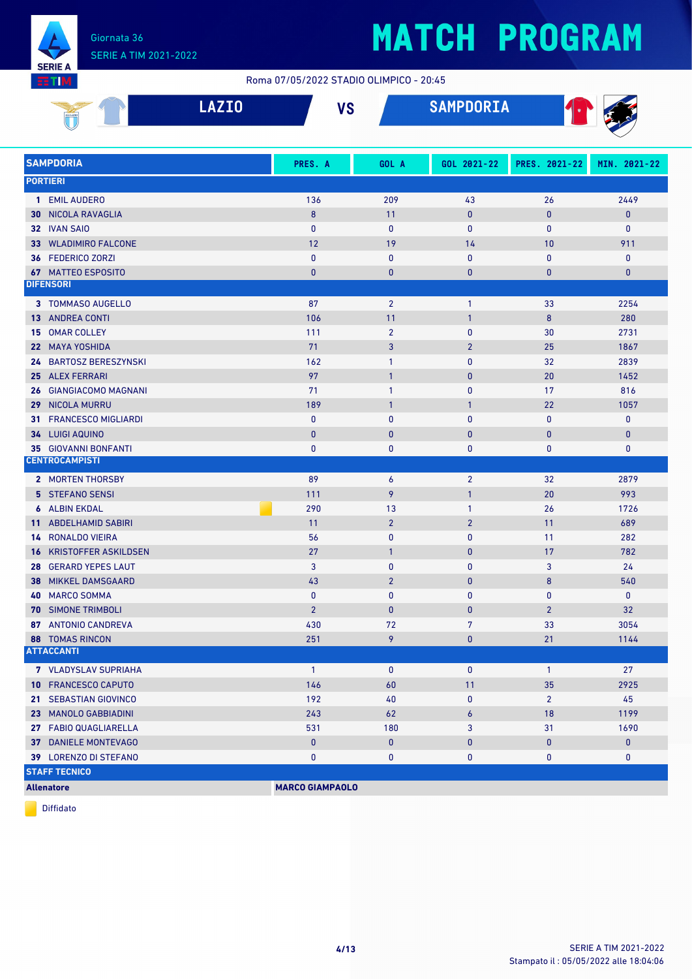

#### Roma 07/05/2022 STADIO OLIMPICO - 20:45

| <b>SSL4210</b><br>w | $\blacksquare$ | <b>110</b><br>œ | <b>AILIRRARTI</b><br><b>OMITUURIA</b> | л. |
|---------------------|----------------|-----------------|---------------------------------------|----|
| ◡                   |                |                 |                                       |    |

| <b>SAMPDORIA</b>                  | PRES. A                | GOL A          | GOL 2021-22    | PRES. 2021-22  | MIN. 2021-22 |
|-----------------------------------|------------------------|----------------|----------------|----------------|--------------|
| <b>PORTIERI</b>                   |                        |                |                |                |              |
| 1 EMIL AUDERO                     | 136                    | 209            | 43             | 26             | 2449         |
| NICOLA RAVAGLIA<br>30             | 8                      | 11             | $\mathbf{0}$   | $\bf{0}$       | $\mathbf{0}$ |
| 32 IVAN SAIO                      | $\mathbf{0}$           | $\mathbf{0}$   | $\mathbf{0}$   | $\mathbf{0}$   | $\mathbf{0}$ |
| 33 WLADIMIRO FALCONE              | 12                     | 19             | 14             | 10             | 911          |
| 36 FEDERICO ZORZI                 | $\mathbf{0}$           | $\mathbf{0}$   | 0              | $\mathbf{0}$   | $\mathbf 0$  |
| <b>67 MATTEO ESPOSITO</b>         | $\bf{0}$               | $\bf{0}$       | $\bf{0}$       | $\bf{0}$       | $\bf{0}$     |
| <b>DIFENSORI</b>                  |                        |                |                |                |              |
| 3 TOMMASO AUGELLO                 | 87                     | $\overline{2}$ | $\mathbf{1}$   | 33             | 2254         |
| <b>13 ANDREA CONTI</b>            | 106                    | 11             | $\overline{1}$ | $\bf 8$        | 280          |
| <b>OMAR COLLEY</b><br>15          | 111                    | $\overline{2}$ | 0              | 30             | 2731         |
| 22 MAYA YOSHIDA                   | 71                     | 3              | $\overline{2}$ | 25             | 1867         |
| <b>BARTOSZ BERESZYNSKI</b><br>24. | 162                    | $\mathbf{1}$   | 0              | 32             | 2839         |
| 25 ALEX FERRARI                   | 97                     | $\mathbf{1}$   | $\bf{0}$       | 20             | 1452         |
| GIANGIACOMO MAGNANI<br>26         | 71                     | 1              | 0              | 17             | 816          |
| 29 NICOLA MURRU                   | 189                    | $\mathbf{1}$   | $\mathbf{1}$   | 22             | 1057         |
| <b>FRANCESCO MIGLIARDI</b><br>31  | 0                      | 0              | 0              | $\bf{0}$       | 0            |
| 34 LUIGI AQUINO                   | $\bf{0}$               | $\bf{0}$       | $\pmb{0}$      | $\bf{0}$       | $\pmb{0}$    |
| <b>35 GIOVANNI BONFANTI</b>       | $\bf{0}$               | 0              | 0              | 0              | $\mathbf 0$  |
| <b>CENTROCAMPISTI</b>             |                        |                |                |                |              |
| 2 MORTEN THORSBY                  | 89                     | 6              | $\overline{2}$ | 32             | 2879         |
| 5 STEFANO SENSI                   | 111                    | 9              | $\mathbf{1}$   | 20             | 993          |
| <b>6 ALBIN EKDAL</b>              | 290                    | 13             | $\mathbf{1}$   | 26             | 1726         |
| 11 ABDELHAMID SABIRI              | 11                     | $\overline{2}$ | $\overline{2}$ | 11             | 689          |
| <b>14 RONALDO VIEIRA</b>          | 56                     | 0              | 0              | 11             | 282          |
| <b>KRISTOFFER ASKILDSEN</b><br>16 | 27                     | $\mathbf{1}$   | $\pmb{0}$      | 17             | 782          |
| 28 GERARD YEPES LAUT              | 3                      | 0              | 0              | 3              | 24           |
| <b>MIKKEL DAMSGAARD</b><br>38     | 43                     | $\overline{2}$ | $\mathbf{0}$   | 8              | 540          |
| <b>MARCO SOMMA</b><br>40          | 0                      | 0              | 0              | $\bf{0}$       | $\mathbf 0$  |
| <b>70 SIMONE TRIMBOLI</b>         | $\overline{2}$         | $\bf{0}$       | $\bf{0}$       | $\overline{2}$ | 32           |
| 87 ANTONIO CANDREVA               | 430                    | 72             | 7              | 33             | 3054         |
| <b>88 TOMAS RINCON</b>            | 251                    | 9              | $\bf{0}$       | 21             | 1144         |
| <b>ATTACCANTI</b>                 |                        |                |                |                |              |
| <b>7</b> VLADYSLAV SUPRIAHA       | $\overline{1}$         | $\mathbf{0}$   | $\mathbf 0$    | $\mathbf{1}$   | 27           |
| <b>10 FRANCESCO CAPUTO</b>        | 146                    | 60             | 11             | 35             | 2925         |
| 21 SEBASTIAN GIOVINCO             | 192                    | 40             | 0              | $\overline{2}$ | 45           |
| 23 MANOLO GABBIADINI              | 243                    | 62             | 6              | 18             | 1199         |
| 27 FABIO QUAGLIARELLA             | 531                    | 180            | 3              | 31             | 1690         |
| 37 DANIELE MONTEVAGO              | $\pmb{0}$              | $\pmb{0}$      | 0              | $\bf{0}$       | $\pmb{0}$    |
| 39 LORENZO DI STEFANO             | 0                      | 0              | 0              | 0              | 0            |
| <b>STAFF TECNICO</b>              |                        |                |                |                |              |
| <b>Allenatore</b>                 | <b>MARCO GIAMPAOLO</b> |                |                |                |              |

Diffidato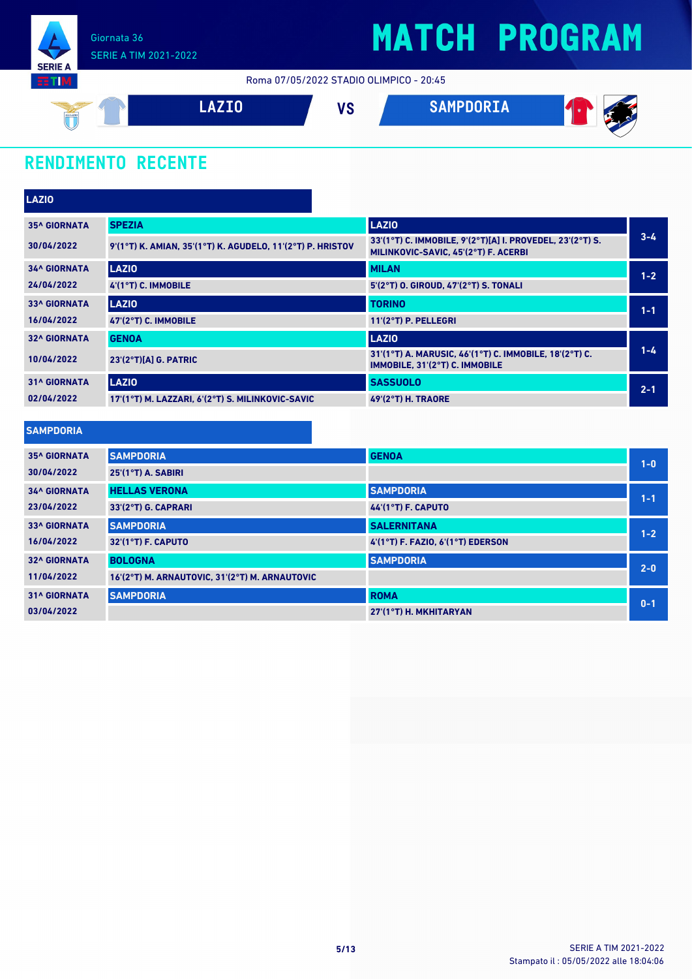

Roma 07/05/2022 STADIO OLIMPICO - 20:45



### **RENDIMENTO RECENTE**

| LAZIO               |                                                            |                                                                                                   |         |
|---------------------|------------------------------------------------------------|---------------------------------------------------------------------------------------------------|---------|
| <b>35^ GIORNATA</b> | <b>SPEZIA</b>                                              | <b>LAZIO</b>                                                                                      |         |
| 30/04/2022          | 9'(1°T) K. AMIAN, 35'(1°T) K. AGUDELO, 11'(2°T) P. HRISTOV | 33'(1°T) C. IMMOBILE, 9'(2°T)[A] I. PROVEDEL, 23'(2°T) S.<br>MILINKOVIC-SAVIC, 45'(2°T) F. ACERBI | $3 - 4$ |
| <b>34^ GIORNATA</b> | <b>LAZIO</b>                                               | <b>MILAN</b>                                                                                      | $1 - 2$ |
| 24/04/2022          | 4'(1°T) C. IMMOBILE                                        | 5'(2°T) O. GIROUD, 47'(2°T) S. TONALI                                                             |         |
| <b>33^ GIORNATA</b> | <b>LAZIO</b>                                               | <b>TORINO</b>                                                                                     | $1 - 1$ |
| 16/04/2022          | 47'(2°T) C. IMMOBILE                                       | 11'(2°T) P. PELLEGRI                                                                              |         |
| <b>32^ GIORNATA</b> | <b>GENOA</b>                                               | <b>LAZIO</b>                                                                                      |         |
| 10/04/2022          | $23'(2°T)[A]$ G. PATRIC                                    | 31'(1°T) A. MARUSIC, 46'(1°T) C. IMMOBILE, 18'(2°T) C.<br>IMMOBILE, 31'(2°T) C. IMMOBILE          | $1 - 4$ |
| <b>31^ GIORNATA</b> | <b>LAZIO</b>                                               | <b>SASSUOLO</b>                                                                                   | $2 - 1$ |
| 02/04/2022          | 17'(1°T) M. LAZZARI, 6'(2°T) S. MILINKOVIC-SAVIC           | <b>49'(2°T) H. TRAORE</b>                                                                         |         |

| <b>SAMPDORIA</b>    |                                                |                                   |         |
|---------------------|------------------------------------------------|-----------------------------------|---------|
| <b>35^ GIORNATA</b> | <b>SAMPDORIA</b>                               | <b>GENOA</b>                      | $1 - 0$ |
| 30/04/2022          | 25'(1°T) A. SABIRI                             |                                   |         |
| <b>34^ GIORNATA</b> | <b>HELLAS VERONA</b>                           | <b>SAMPDORIA</b>                  | $1 - 1$ |
| 23/04/2022          | 33'(2°T) G. CAPRARI                            | 44'(1°T) F. CAPUTO                |         |
| <b>33^ GIORNATA</b> | <b>SAMPDORIA</b>                               | <b>SALERNITANA</b>                | $1 - 2$ |
| 16/04/2022          | 32'(1°T) F. CAPUTO                             | 4'(1°T) F. FAZIO, 6'(1°T) EDERSON |         |
| <b>32^ GIORNATA</b> | <b>BOLOGNA</b>                                 | <b>SAMPDORIA</b>                  | $2 - 0$ |
| 11/04/2022          | 16'(2°T) M. ARNAUTOVIC, 31'(2°T) M. ARNAUTOVIC |                                   |         |
| <b>31^ GIORNATA</b> | <b>SAMPDORIA</b>                               | <b>ROMA</b>                       | $0 - 1$ |
| 03/04/2022          |                                                | 27'(1°T) H. MKHITARYAN            |         |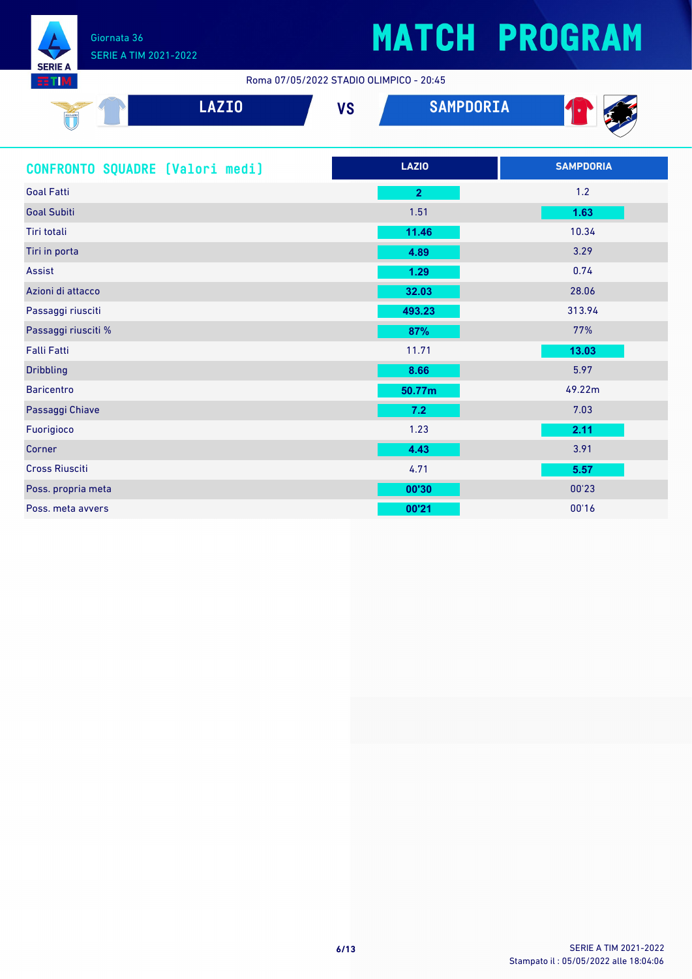

Roma 07/05/2022 STADIO OLIMPICO - 20:45

| $\frac{1}{\sqrt{1-\frac{1}{2}}\sqrt{\frac{1}{2}}\sqrt{\frac{1}{2}}\sqrt{\frac{1}{2}}\sqrt{\frac{1}{2}}\sqrt{\frac{1}{2}}\sqrt{\frac{1}{2}}\sqrt{\frac{1}{2}}\sqrt{\frac{1}{2}}\sqrt{\frac{1}{2}}\sqrt{\frac{1}{2}}\sqrt{\frac{1}{2}}\sqrt{\frac{1}{2}}\sqrt{\frac{1}{2}}\sqrt{\frac{1}{2}}\sqrt{\frac{1}{2}}\sqrt{\frac{1}{2}}\sqrt{\frac{1}{2}}\sqrt{\frac{1}{2}}\sqrt{\frac{1}{2}}\sqrt{\frac{1}{2}}\sqrt{\frac{1}{2}}\sqrt{\frac{1}{2}}\sqrt{\frac{1$<br>`U | <b>SEA</b><br>المستقلة المتعار | <b></b> | <b>CAMDDODTA</b><br>SAMPUURIA | 41 |
|----------------------------------------------------------------------------------------------------------------------------------------------------------------------------------------------------------------------------------------------------------------------------------------------------------------------------------------------------------------------------------------------------------------------------------------------------------------|--------------------------------|---------|-------------------------------|----|
|                                                                                                                                                                                                                                                                                                                                                                                                                                                                |                                |         |                               |    |

| CONFRONTO SQUADRE [Valori medi] | <b>LAZIO</b>   | <b>SAMPDORIA</b> |
|---------------------------------|----------------|------------------|
| <b>Goal Fatti</b>               | $\overline{2}$ | 1.2              |
| <b>Goal Subiti</b>              | 1.51           | 1.63             |
| Tiri totali                     | 11.46          | 10.34            |
| Tiri in porta                   | 4.89           | 3.29             |
| Assist                          | 1.29           | 0.74             |
| Azioni di attacco               | 32.03          | 28.06            |
| Passaggi riusciti               | 493.23         | 313.94           |
| Passaggi riusciti %             | 87%            | 77%              |
| <b>Falli Fatti</b>              | 11.71          | 13.03            |
| <b>Dribbling</b>                | 8.66           | 5.97             |
| <b>Baricentro</b>               | 50.77m         | 49.22m           |
| Passaggi Chiave                 | 7.2            | 7.03             |
| Fuorigioco                      | 1.23           | 2.11             |
| Corner                          | 4.43           | 3.91             |
| <b>Cross Riusciti</b>           | 4.71           | 5.57             |
| Poss. propria meta              | 00'30          | 00'23            |
| Poss, meta avvers               | 00'21          | 00'16            |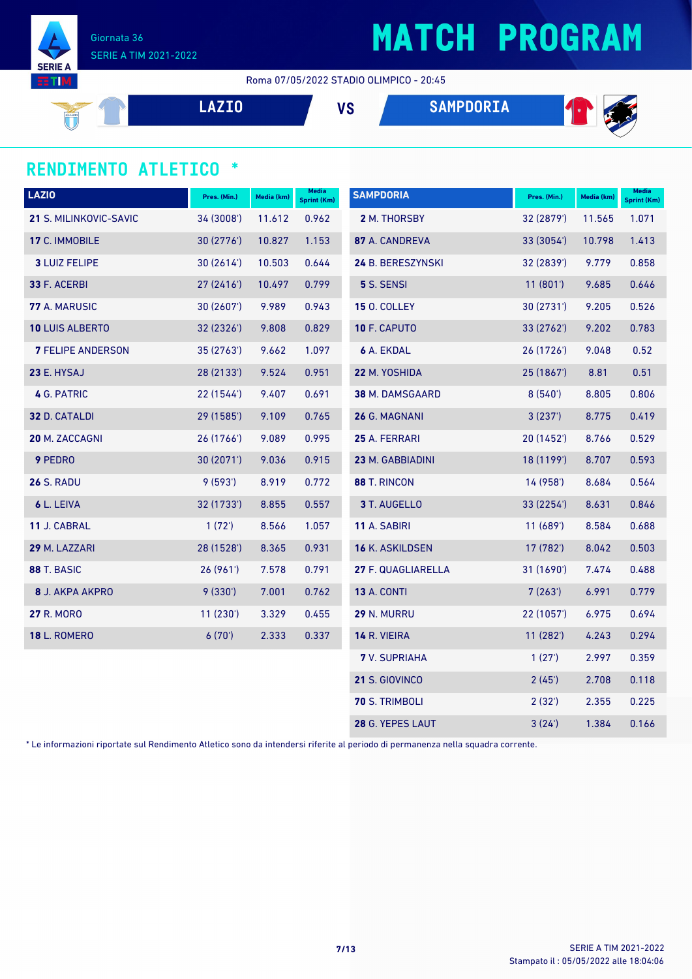

Giornata 36 SERIE A TIM 2021-2022

Roma 07/05/2022 STADIO OLIMPICO - 20:45

**LAZIO VS SAMPDORIA**





#### **RENDIMENTO ATLETICO \***

| <b>LAZIO</b>             | Pres. (Min.) | Media (km) | Media<br><b>Sprint (Km)</b> | <b>SAMPDORIA</b>     | Pres. (Min.)    | Media (km) | <b>Media</b><br><b>Sprint (Km)</b> |
|--------------------------|--------------|------------|-----------------------------|----------------------|-----------------|------------|------------------------------------|
| 21 S. MILINKOVIC-SAVIC   | 34 (3008')   | 11.612     | 0.962                       | 2 M. THORSBY         | 32 (2879')      | 11.565     | 1.071                              |
| 17 C. IMMOBILE           | 30(2776)     | 10.827     | 1.153                       | 87 A. CANDREVA       | 33 (3054')      | 10.798     | 1.413                              |
| <b>3 LUIZ FELIPE</b>     | 30(2614)     | 10.503     | 0.644                       | 24 B. BERESZYNSKI    | 32 (2839')      | 9.779      | 0.858                              |
| 33 F. ACERBI             | 27(2416)     | 10.497     | 0.799                       | 5 S. SENSI           | 11(801)         | 9.685      | 0.646                              |
| 77 A. MARUSIC            | 30(2607)     | 9.989      | 0.943                       | <b>15 O. COLLEY</b>  | 30(2731)        | 9.205      | 0.526                              |
| <b>10 LUIS ALBERTO</b>   | 32 (2326')   | 9.808      | 0.829                       | 10 F. CAPUTO         | 33 (2762')      | 9.202      | 0.783                              |
| <b>7 FELIPE ANDERSON</b> | 35 (2763')   | 9.662      | 1.097                       | 6 A. EKDAL           | 26 (1726')      | 9.048      | 0.52                               |
| 23 E. HYSAJ              | 28 (2133')   | 9.524      | 0.951                       | 22 M. YOSHIDA        | 25 (1867')      | 8.81       | 0.51                               |
| 4 G. PATRIC              | 22(1544)     | 9.407      | 0.691                       | 38 M. DAMSGAARD      | 8(540)          | 8.805      | 0.806                              |
| 32 D. CATALDI            | 29 (1585')   | 9.109      | 0.765                       | 26 G. MAGNANI        | 3(237)          | 8.775      | 0.419                              |
| 20 M. ZACCAGNI           | 26 (1766')   | 9.089      | 0.995                       | 25 A. FERRARI        | 20 (1452')      | 8.766      | 0.529                              |
| 9 PEDRO                  | 30(2071)     | 9.036      | 0.915                       | 23 M. GABBIADINI     | 18 (1199')      | 8.707      | 0.593                              |
| <b>26 S. RADU</b>        | 9(593)       | 8.919      | 0.772                       | 88 T. RINCON         | 14 (958')       | 8.684      | 0.564                              |
| 6 L. LEIVA               | 32 (1733')   | 8.855      | 0.557                       | 3 T. AUGELLO         | 33 (2254')      | 8.631      | 0.846                              |
| 11 J. CABRAL             | 1(72)        | 8.566      | 1.057                       | 11 A. SABIRI         | 11(689)         | 8.584      | 0.688                              |
| 29 M. LAZZARI            | 28 (1528')   | 8.365      | 0.931                       | 16 K. ASKILDSEN      | 17 (782')       | 8.042      | 0.503                              |
| 88 T. BASIC              | 26(961)      | 7.578      | 0.791                       | 27 F. QUAGLIARELLA   | 31 (1690')      | 7.474      | 0.488                              |
| 8 J. AKPA AKPRO          | 9(330')      | 7.001      | 0.762                       | <b>13 A. CONTI</b>   | 7(263)          | 6.991      | 0.779                              |
| <b>27 R. MORO</b>        | 11(230)      | 3.329      | 0.455                       | 29 N. MURRU          | 22(1057)        | 6.975      | 0.694                              |
| <b>18 L. ROMERO</b>      | 6(70)        | 2.333      | 0.337                       | 14 R. VIEIRA         | 11 (282')       | 4.243      | 0.294                              |
|                          |              |            |                             | <b>7</b> V. SUPRIAHA | 1(27)           | 2.997      | 0.359                              |
|                          |              |            |                             | 21 S. GIOVINCO       | 2(45)           | 2.708      | 0.118                              |
|                          |              |            |                             | 70 S. TRIMBOLI       | $2(32^{\circ})$ | 2.355      | 0.225                              |
|                          |              |            |                             | 28 G. YEPES LAUT     | 3(24)           | 1.384      | 0.166                              |

\* Le informazioni riportate sul Rendimento Atletico sono da intendersi riferite al periodo di permanenza nella squadra corrente.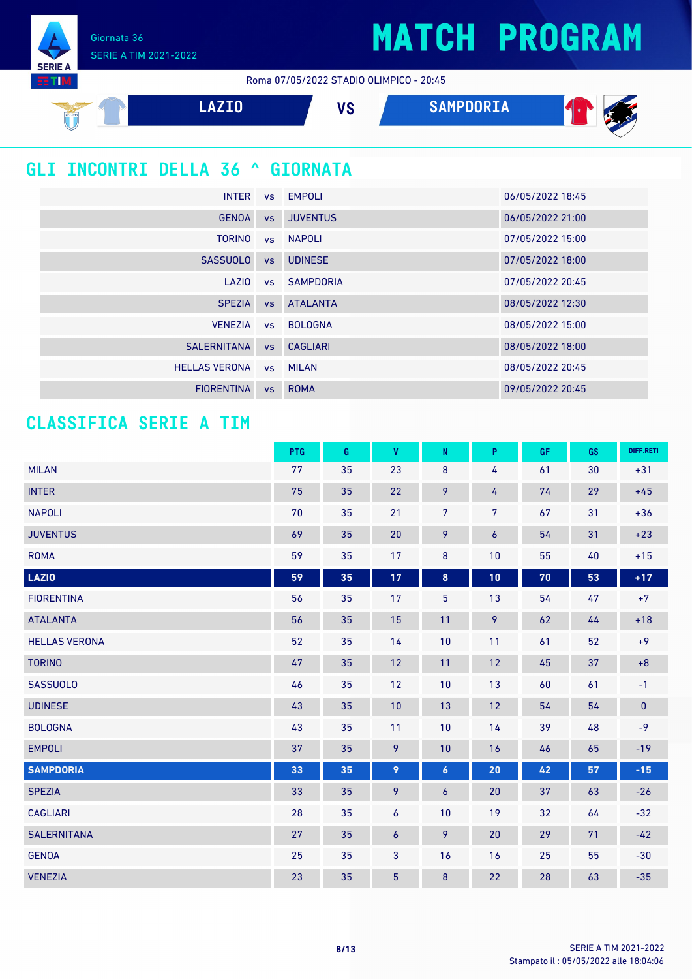Giornata 36 SERIE A TIM 2021-2022

**SERIE** 

Roma 07/05/2022 STADIO OLIMPICO - 20:45

| SSLAZIO                                 | <b>LAZIO</b>         |           | <b>VS</b>        | <b>SAMPDORIA</b> |                  |
|-----------------------------------------|----------------------|-----------|------------------|------------------|------------------|
| <b>GLI INCONTRI DELLA 36 ^ GIORNATA</b> |                      |           |                  |                  |                  |
|                                         | <b>INTER</b>         | <b>VS</b> | <b>EMPOLI</b>    |                  | 06/05/2022 18:45 |
|                                         | <b>GENOA</b>         | <b>VS</b> | <b>JUVENTUS</b>  |                  | 06/05/2022 21:00 |
|                                         | <b>TORINO</b>        | <b>VS</b> | NAPOLI           |                  | 07/05/2022 15:00 |
|                                         | <b>SASSUOLO</b>      | <b>VS</b> | <b>UDINESE</b>   |                  | 07/05/2022 18:00 |
|                                         | <b>LAZIO</b>         | <b>VS</b> | <b>SAMPDORIA</b> |                  | 07/05/2022 20:45 |
|                                         | <b>SPEZIA</b>        | <b>VS</b> | <b>ATALANTA</b>  |                  | 08/05/2022 12:30 |
|                                         | <b>VENEZIA</b>       | <b>VS</b> | <b>BOLOGNA</b>   |                  | 08/05/2022 15:00 |
|                                         | <b>SALERNITANA</b>   | <b>VS</b> | <b>CAGLIARI</b>  |                  | 08/05/2022 18:00 |
|                                         | <b>HELLAS VERONA</b> | <b>VS</b> | <b>MILAN</b>     |                  | 08/05/2022 20:45 |
|                                         |                      |           |                  |                  |                  |

FIORENTINA vs ROMA 09/05/2022 20:45

#### **CLASSIFICA SERIE A TIM**

|                      | <b>PTG</b> | G  | V              | N              | P                | GF | GS | DIFF.RETI    |
|----------------------|------------|----|----------------|----------------|------------------|----|----|--------------|
| <b>MILAN</b>         | 77         | 35 | 23             | 8              | 4                | 61 | 30 | $+31$        |
| <b>INTER</b>         | 75         | 35 | 22             | 9              | 4                | 74 | 29 | $+45$        |
| <b>NAPOLI</b>        | 70         | 35 | 21             | 7 <sup>7</sup> | 7                | 67 | 31 | $+36$        |
| <b>JUVENTUS</b>      | 69         | 35 | 20             | 9              | $\boldsymbol{6}$ | 54 | 31 | $+23$        |
| <b>ROMA</b>          | 59         | 35 | 17             | 8              | 10               | 55 | 40 | $+15$        |
| <b>LAZIO</b>         | 59         | 35 | 17             | $\bf{8}$       | 10               | 70 | 53 | $+17$        |
| <b>FIORENTINA</b>    | 56         | 35 | 17             | 5              | 13               | 54 | 47 | $+7$         |
| <b>ATALANTA</b>      | 56         | 35 | 15             | 11             | 9                | 62 | 44 | $+18$        |
| <b>HELLAS VERONA</b> | 52         | 35 | 14             | 10             | 11               | 61 | 52 | $+9$         |
| <b>TORINO</b>        | 47         | 35 | 12             | 11             | 12               | 45 | 37 | $+8$         |
| <b>SASSUOLO</b>      | 46         | 35 | 12             | 10             | 13               | 60 | 61 | $-1$         |
| <b>UDINESE</b>       | 43         | 35 | 10             | 13             | 12               | 54 | 54 | $\mathbf{0}$ |
| <b>BOLOGNA</b>       | 43         | 35 | 11             | 10             | 14               | 39 | 48 | $-9$         |
| <b>EMPOLI</b>        | 37         | 35 | 9              | 10             | 16               | 46 | 65 | $-19$        |
| <b>SAMPDORIA</b>     | 33         | 35 | 9              | 6              | 20               | 42 | 57 | $-15$        |
| <b>SPEZIA</b>        | 33         | 35 | 9              | $\overline{6}$ | 20               | 37 | 63 | $-26$        |
| <b>CAGLIARI</b>      | 28         | 35 | 6              | 10             | 19               | 32 | 64 | $-32$        |
| <b>SALERNITANA</b>   | 27         | 35 | 6              | 9              | 20               | 29 | 71 | $-42$        |
| <b>GENOA</b>         | 25         | 35 | 3              | 16             | 16               | 25 | 55 | $-30$        |
| <b>VENEZIA</b>       | 23         | 35 | $\overline{5}$ | $\bf 8$        | 22               | 28 | 63 | $-35$        |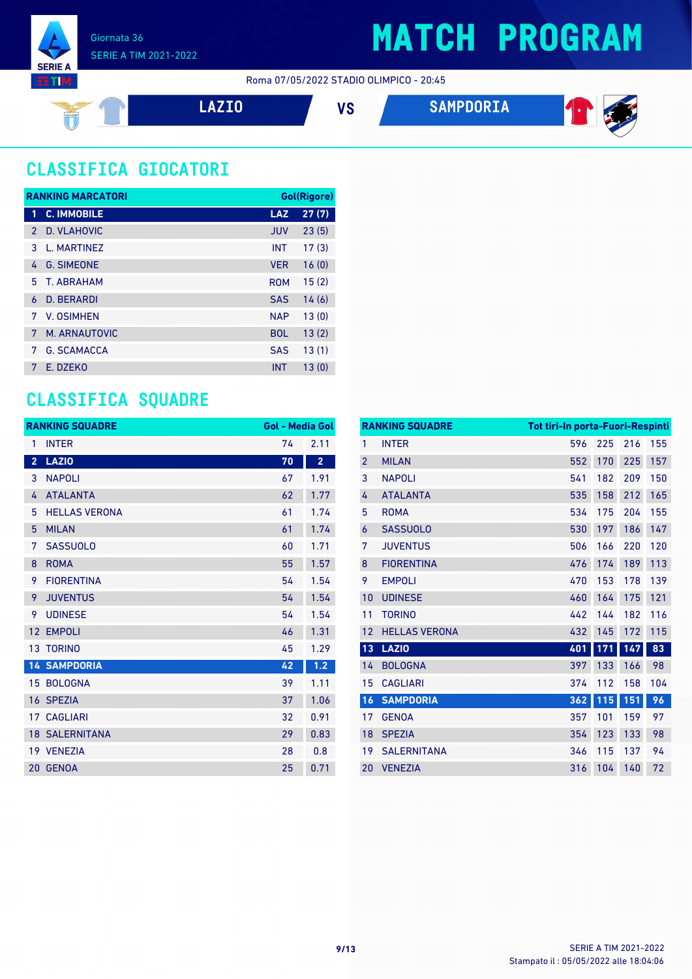









### **CLASSIFICA GIOCATORI**

|               | <b>RANKING MARCATORI</b> |            | Gol(Rigore) |
|---------------|--------------------------|------------|-------------|
| 1             | <b>C. IMMOBILE</b>       | <b>LAZ</b> | 27(7)       |
| $\mathcal{P}$ | D. VLAHOVIC              | <b>JUV</b> | 23(5)       |
| 3             | L. MARTINEZ              | <b>INT</b> | 17(3)       |
| 4             | <b>G. SIMEONE</b>        | <b>VER</b> | 16(0)       |
| 5.            | T. ABRAHAM               | <b>ROM</b> | 15(2)       |
| 6             | D. BERARDI               | <b>SAS</b> | 14(6)       |
| 7             | V. OSIMHEN               | <b>NAP</b> | 13(0)       |
| 7             | M. ARNAUTOVIC            | <b>BOL</b> | 13(2)       |
| 7             | <b>G. SCAMACCA</b>       | <b>SAS</b> | 13(1)       |
| 7             | E. DZEKO                 | <b>INT</b> | 13(0)       |

### **CLASSIFICA SQUADRE**

|                         | <b>RANKING SQUADRE</b> | <b>Gol - Media Gol</b> |                         |
|-------------------------|------------------------|------------------------|-------------------------|
| 1                       | <b>INTER</b>           | 74                     | 2.11                    |
| $\overline{\mathbf{2}}$ | <b>LAZIO</b>           | $\overline{70}$        | $\overline{\mathbf{2}}$ |
| 3                       | <b>NAPOLI</b>          | 67                     | 1.91                    |
| 4                       | <b>ATALANTA</b>        | 62                     | 1.77                    |
| 5                       | <b>HELLAS VERONA</b>   | 61                     | 1.74                    |
| 5                       | <b>MILAN</b>           | 61                     | 1.74                    |
| 7                       | <b>SASSUOLO</b>        | 60                     | 1.71                    |
| 8                       | <b>ROMA</b>            | 55                     | 1.57                    |
| 9                       | <b>FIORENTINA</b>      | 54                     | 1.54                    |
| 9                       | <b>JUVENTUS</b>        | 54                     | 1.54                    |
| 9                       | <b>UDINESE</b>         | 54                     | 1.54                    |
| 12                      | <b>EMPOLI</b>          | 46                     | 1.31                    |
| 13                      | <b>TORINO</b>          | 45                     | 1.29                    |
|                         | <b>14 SAMPDORIA</b>    | 42                     | 1.2                     |
| 15                      | <b>BOLOGNA</b>         | 39                     | 1.11                    |
| 16                      | <b>SPEZIA</b>          | 37                     | 1.06                    |
| 17                      | <b>CAGLIARI</b>        | 32                     | 0.91                    |
|                         | <b>18 SALERNITANA</b>  | 29                     | 0.83                    |
|                         | 19 VENEZIA             | 28                     | 0.8                     |
|                         | 20 GENOA               | 25                     | 0.71                    |

|                | <b>RANKING SQUADRE</b> | <b>Tot tiri-In porta-Fuori-Respinti</b> |     |     |     |
|----------------|------------------------|-----------------------------------------|-----|-----|-----|
| 1              | <b>INTER</b>           | 596                                     | 225 | 216 | 155 |
| $\overline{2}$ | <b>MILAN</b>           | 552                                     | 170 | 225 | 157 |
| 3              | <b>NAPOLI</b>          | 541                                     | 182 | 209 | 150 |
| 4              | <b>ATALANTA</b>        | 535                                     | 158 | 212 | 165 |
| 5              | <b>ROMA</b>            | 534                                     | 175 | 204 | 155 |
| 6              | <b>SASSUOLO</b>        | 530                                     | 197 | 186 | 147 |
| 7              | <b>JUVENTUS</b>        | 506                                     | 166 | 220 | 120 |
| 8              | <b>FIORENTINA</b>      | 476                                     | 174 | 189 | 113 |
| 9              | <b>EMPOLI</b>          | 470                                     | 153 | 178 | 139 |
| 10             | <b>UDINESE</b>         | 460                                     | 164 | 175 | 121 |
| 11             | <b>TORINO</b>          | 442                                     | 144 | 182 | 116 |
| 12             | <b>HELLAS VERONA</b>   | 432                                     | 145 | 172 | 115 |
| 13             | <b>LAZIO</b>           | 401                                     | 171 | 147 | 83  |
| 14             | <b>BOLOGNA</b>         | 397                                     | 133 | 166 | 98  |
| 15             | <b>CAGLIARI</b>        | 374                                     | 112 | 158 | 104 |
| 16             | <b>SAMPDORIA</b>       | 362                                     | 115 | 151 | 96  |
| 17             | <b>GENOA</b>           | 357                                     | 101 | 159 | 97  |
| 18             | <b>SPEZIA</b>          | 354                                     | 123 | 133 | 98  |
| 19             | <b>SALERNITANA</b>     | 346                                     | 115 | 137 | 94  |
| 20             | <b>VENEZIA</b>         | 316                                     | 104 | 140 | 72  |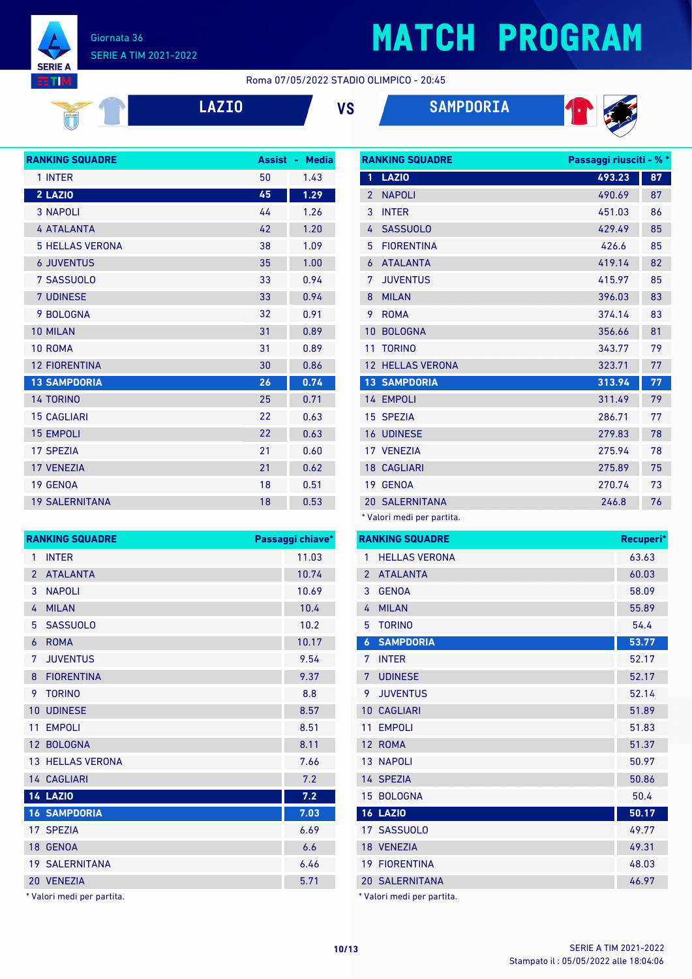

**SERIE A BTIM** 

# **MATCH PROGRAM**

#### Roma 07/05/2022 STADIO OLIMPICO - 20:45



**LAZIO VS SAMPDORIA**



| <b>RANKING SQUADRE</b> | <b>Assist</b> | <b>Media</b><br>49 |
|------------------------|---------------|--------------------|
| 1 INTER                | 50            | 1.43               |
| 2 LAZIO                | 45            | 1.29               |
| <b>3 NAPOLI</b>        | 44            | 1.26               |
| <b>4 ATALANTA</b>      | 42            | 1.20               |
| <b>5 HELLAS VERONA</b> | 38            | 1.09               |
| <b>6 JUVENTUS</b>      | 35            | 1.00               |
| 7 SASSUOLO             | 33            | 0.94               |
| <b>7 UDINESE</b>       | 33            | 0.94               |
| 9 BOLOGNA              | 32            | 0.91               |
| <b>10 MILAN</b>        | 31            | 0.89               |
| 10 ROMA                | 31            | 0.89               |
| <b>12 FIORENTINA</b>   | 30            | 0.86               |
| <b>13 SAMPDORIA</b>    | 26            | 0.74               |
| <b>14 TORINO</b>       | 25            | 0.71               |
| <b>15 CAGLIARI</b>     | 22            | 0.63               |
| <b>15 EMPOLI</b>       | 22            | 0.63               |
| <b>17 SPEZIA</b>       | 21            | 0.60               |
| <b>17 VENEZIA</b>      | 21            | 0.62               |
| <b>19 GENOA</b>        | 18            | 0.51               |
| <b>19 SALERNITANA</b>  | 18            | 0.53               |

|                | <b>RANKING SQUADRE</b> | Passaggi riusciti - % * |    |
|----------------|------------------------|-------------------------|----|
| 1              | <b>LAZIO</b>           | 493.23                  | 87 |
| $\overline{2}$ | <b>NAPOLI</b>          | 490.69                  | 87 |
| 3              | <b>INTER</b>           | 451.03                  | 86 |
| 4              | <b>SASSUOLO</b>        | 429.49                  | 85 |
| 5              | <b>FIORENTINA</b>      | 426.6                   | 85 |
| 6              | <b>ATALANTA</b>        | 419.14                  | 82 |
| 7              | <b>JUVENTUS</b>        | 415.97                  | 85 |
| 8              | <b>MILAN</b>           | 396.03                  | 83 |
| 9              | <b>ROMA</b>            | 374.14                  | 83 |
| 10             | <b>BOLOGNA</b>         | 356.66                  | 81 |
| 11             | <b>TORINO</b>          | 343.77                  | 79 |
| 12             | <b>HELLAS VERONA</b>   | 323.71                  | 77 |
|                | <b>13 SAMPDORIA</b>    | 313.94                  | 77 |
|                | 14 EMPOLI              | 311.49                  | 79 |
|                | 15 SPEZIA              | 286.71                  | 77 |
|                | <b>16 UDINESE</b>      | 279.83                  | 78 |
|                | 17 VENEZIA             | 275.94                  | 78 |
|                | <b>18 CAGLIARI</b>     | 275.89                  | 75 |
|                | 19 GENOA               | 270.74                  | 73 |
|                | <b>20 SALERNITANA</b>  | 246.8                   | 76 |
|                |                        |                         |    |

\* Valori medi per partita.

|                  | <b>RANKING SQUADRE</b> | Recuperi* |
|------------------|------------------------|-----------|
| 1                | <b>HELLAS VERONA</b>   | 63.63     |
| $\overline{2}$   | <b>ATALANTA</b>        | 60.03     |
| 3                | <b>GENOA</b>           | 58.09     |
| 4                | <b>MILAN</b>           | 55.89     |
| 5                | <b>TORINO</b>          | 54.4      |
| $\boldsymbol{6}$ | <b>SAMPDORIA</b>       | 53.77     |
| 7                | <b>INTER</b>           | 52.17     |
| 7                | <b>UDINESE</b>         | 52.17     |
| 9                | <b>JUVENTUS</b>        | 52.14     |
| 10               | <b>CAGLIARI</b>        | 51.89     |
| 11               | <b>EMPOLI</b>          | 51.83     |
|                  | 12 ROMA                | 51.37     |
|                  | <b>13 NAPOLI</b>       | 50.97     |
|                  | 14 SPEZIA              | 50.86     |
| 15               | <b>BOLOGNA</b>         | 50.4      |
|                  | <b>16 LAZIO</b>        | 50.17     |
|                  | 17 SASSUOLO            | 49.77     |
|                  | 18 VENEZIA             | 49.31     |
| 19               | <b>FIORENTINA</b>      | 48.03     |
|                  | <b>20 SALERNITANA</b>  | 46.97     |
|                  |                        |           |

\* Valori medi per partita.

|                | <b>RANKING SQUADRE</b>  | Passaggi chiave* |
|----------------|-------------------------|------------------|
| 1              | <b>INTER</b>            | 11.03            |
| $\overline{2}$ | <b>ATALANTA</b>         | 10.74            |
| 3              | <b>NAPOLI</b>           | 10.69            |
| 4              | <b>MILAN</b>            | 10.4             |
| 5              | <b>SASSUOLO</b>         | 10.2             |
| 6              | <b>ROMA</b>             | 10.17            |
| 7              | <b>JUVENTUS</b>         | 9.54             |
| 8              | <b>FIORENTINA</b>       | 9.37             |
| 9              | <b>TORINO</b>           | 8.8              |
| 10             | <b>UDINESE</b>          | 8.57             |
| 11             | <b>EMPOLI</b>           | 8.51             |
| 12             | <b>BOLOGNA</b>          | 8.11             |
|                | <b>13 HELLAS VERONA</b> | 7.66             |
|                | <b>14 CAGLIARI</b>      | 7.2              |
|                | <b>14 LAZIO</b>         | 7.2              |
|                | <b>16 SAMPDORIA</b>     | 7.03             |
|                | 17 SPEZIA               | 6.69             |
|                | 18 GENOA                | 6.6              |
|                | 19 SALERNITANA          | 6.46             |
| 20             | <b>VENEZIA</b>          | 5.71             |
|                |                         |                  |

\* Valori medi per partita.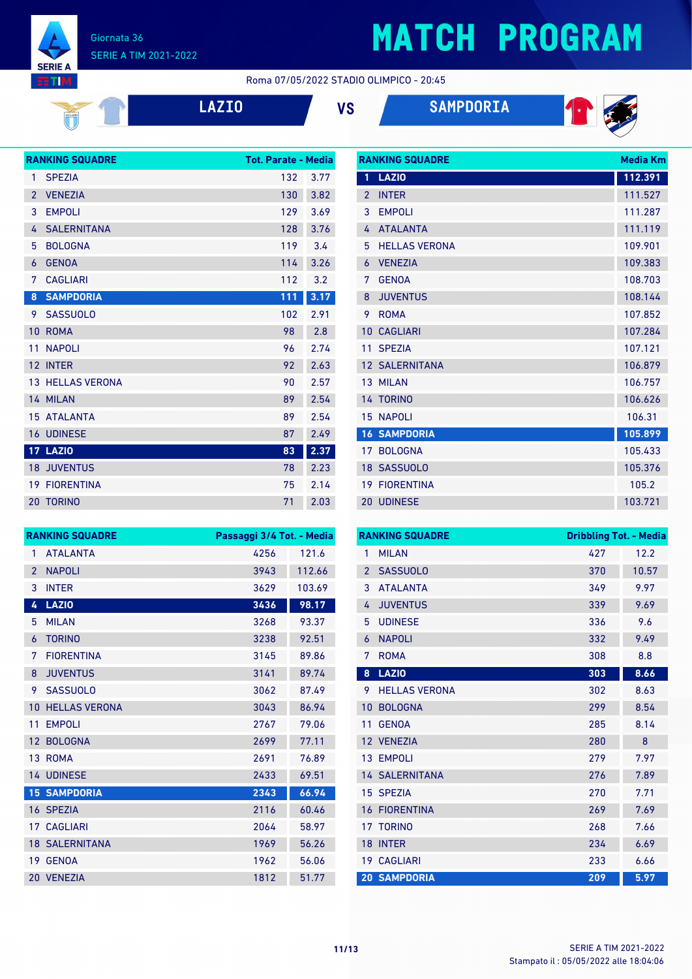

#### Giornata 36 SERIE A TIM 2021-2022

Roma 07/05/2022 STADIO OLIMPICO - 20:45

**LAZIO VS SAMPDORIA**

**RANKING SQUADRE Media Km**



|                | <b>RANKING SQUADRE</b>  | <b>Tot. Parate - Media</b> |      |
|----------------|-------------------------|----------------------------|------|
| 1              | <b>SPEZIA</b>           | 132                        | 3.77 |
| $\overline{2}$ | <b>VENEZIA</b>          | 130                        | 3.82 |
| 3              | <b>EMPOLI</b>           | 129                        | 3.69 |
| 4              | <b>SALERNITANA</b>      | 128                        | 3.76 |
| 5              | <b>BOLOGNA</b>          | 119                        | 3.4  |
| 6              | <b>GENOA</b>            | 114                        | 3.26 |
| 7              | <b>CAGLIARI</b>         | 112                        | 3.2  |
| 8              | <b>SAMPDORIA</b>        | 111                        | 3.17 |
| 9              | <b>SASSUOLO</b>         | 102                        | 2.91 |
| 10             | <b>ROMA</b>             | 98                         | 2.8  |
| 11             | <b>NAPOLI</b>           | 96                         | 2.74 |
|                | 12 INTER                | 92                         | 2.63 |
|                | <b>13 HELLAS VERONA</b> | 90                         | 2.57 |
|                | 14 MILAN                | 89                         | 2.54 |
|                | <b>15 ATALANTA</b>      | 89                         | 2.54 |
|                | <b>16 UDINESE</b>       | 87                         | 2.49 |
|                | <b>17 LAZIO</b>         | 83                         | 2.37 |
|                | <b>18 JUVENTUS</b>      | 78                         | 2.23 |
|                | <b>19 FIORENTINA</b>    | 75                         | 2.14 |
|                | <b>20 TORINO</b>        | 71                         | 2.03 |

|                | IVAINININU JUUAUINL   | исча мш |
|----------------|-----------------------|---------|
| 1              | <b>LAZIO</b>          | 112.391 |
| $\overline{2}$ | <b>INTER</b>          | 111.527 |
| 3              | <b>EMPOLI</b>         | 111.287 |
| 4              | <b>ATALANTA</b>       | 111.119 |
| 5              | <b>HELLAS VERONA</b>  | 109.901 |
| 6              | <b>VENEZIA</b>        | 109.383 |
| 7              | <b>GENOA</b>          | 108.703 |
| 8              | <b>JUVENTUS</b>       | 108.144 |
| 9              | <b>ROMA</b>           | 107.852 |
| 10             | <b>CAGLIARI</b>       | 107.284 |
| 11             | <b>SPEZIA</b>         | 107.121 |
|                | <b>12 SALERNITANA</b> | 106.879 |
|                | 13 MILAN              | 106.757 |
|                | 14 TORINO             | 106.626 |
|                | <b>15 NAPOLI</b>      | 106.31  |
|                | <b>16 SAMPDORIA</b>   | 105.899 |
|                | 17 BOLOGNA            | 105.433 |
|                | 18 SASSUOLO           | 105.376 |
|                | <b>19 FIORENTINA</b>  | 105.2   |
|                | 20 UDINESE            | 103.721 |

|                 | <b>RANKING SQUADRE</b> | Passaggi 3/4 Tot. - Media |        |  |
|-----------------|------------------------|---------------------------|--------|--|
| 1               | <b>ATALANTA</b>        | 4256                      | 121.6  |  |
| $\overline{2}$  | <b>NAPOLI</b>          | 3943                      | 112.66 |  |
| 3               | <b>INTER</b>           | 3629                      | 103.69 |  |
| 4               | <b>LAZIO</b>           | 3436                      | 98.17  |  |
| 5               | <b>MILAN</b>           | 3268                      | 93.37  |  |
| 6               | <b>TORINO</b>          | 3238                      | 92.51  |  |
| 7               | <b>FIORENTINA</b>      | 3145                      | 89.86  |  |
| 8               | <b>JUVENTUS</b>        | 3141                      | 89.74  |  |
| 9               | <b>SASSUOLO</b>        | 3062                      | 87.49  |  |
| 10              | <b>HELLAS VERONA</b>   | 3043                      | 86.94  |  |
| 11              | <b>EMPOLI</b>          | 2767                      | 79.06  |  |
| 12 <sup>2</sup> | <b>BOLOGNA</b>         | 2699                      | 77.11  |  |
|                 | 13 ROMA                | 2691                      | 76.89  |  |
|                 | <b>14 UDINESE</b>      | 2433                      | 69.51  |  |
|                 | <b>15 SAMPDORIA</b>    | 2343                      | 66.94  |  |
|                 | 16 SPEZIA              | 2116                      | 60.46  |  |
|                 | <b>17 CAGLIARI</b>     | 2064                      | 58.97  |  |
|                 | <b>18 SALERNITANA</b>  | 1969                      | 56.26  |  |
|                 | 19 GENOA               | 1962                      | 56.06  |  |
|                 | 20 VENEZIA             | 1812                      | 51.77  |  |

| <b>RANKING SQUADRE</b> |                       | <b>Dribbling Tot. - Media</b> |       |
|------------------------|-----------------------|-------------------------------|-------|
| 1                      | <b>MILAN</b>          | 427                           | 12.2  |
| $\overline{2}$         | <b>SASSUOLO</b>       | 370                           | 10.57 |
| 3                      | <b>ATALANTA</b>       | 349                           | 9.97  |
| 4                      | <b>JUVENTUS</b>       | 339                           | 9.69  |
| 5                      | <b>UDINESE</b>        | 336                           | 9.6   |
| 6                      | <b>NAPOLI</b>         | 332                           | 9.49  |
| 7                      | <b>ROMA</b>           | 308                           | 8.8   |
| 8                      | <b>LAZIO</b>          | 303                           | 8.66  |
| 9                      | <b>HELLAS VERONA</b>  | 302                           | 8.63  |
| 10                     | <b>BOLOGNA</b>        | 299                           | 8.54  |
| 11                     | <b>GENOA</b>          | 285                           | 8.14  |
| 12                     | <b>VENEZIA</b>        | 280                           | 8     |
| 13                     | <b>EMPOLI</b>         | 279                           | 7.97  |
|                        | <b>14 SALERNITANA</b> | 276                           | 7.89  |
|                        | 15 SPEZIA             | 270                           | 7.71  |
| 16                     | <b>FIORENTINA</b>     | 269                           | 7.69  |
| 17                     | <b>TORINO</b>         | 268                           | 7.66  |
| 18                     | <b>INTER</b>          | 234                           | 6.69  |
|                        | 19 CAGLIARI           | 233                           | 6.66  |
|                        | <b>20 SAMPDORIA</b>   | 209                           | 5.97  |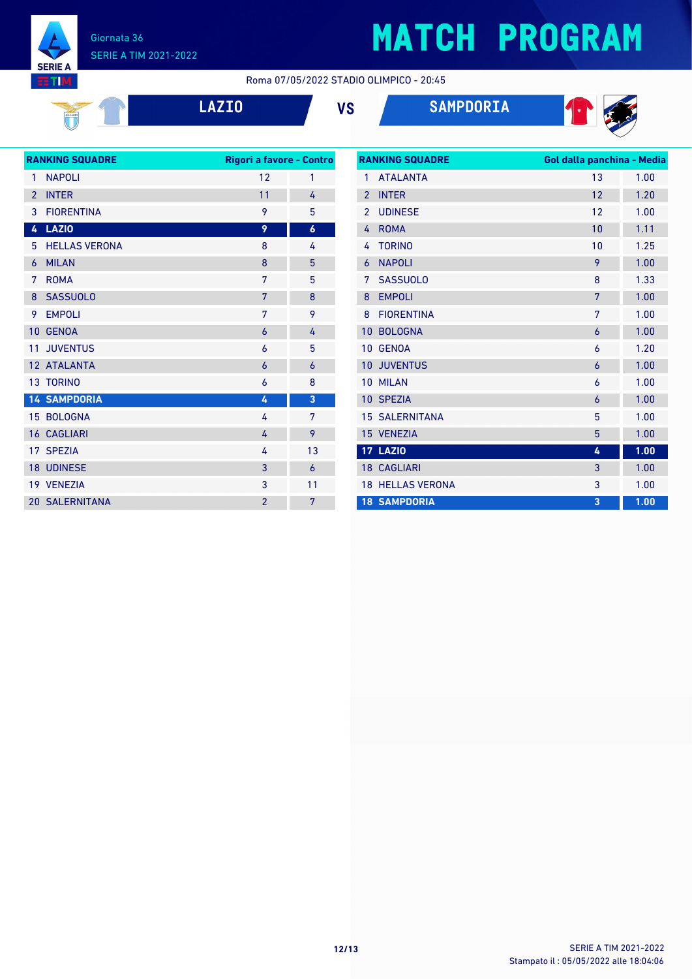

**NITE:** 

### **MATCH PROGRAM**

Roma 07/05/2022 STADIO OLIMPICO - 20:45

|  |  | LAZI <sup>(</sup> |  |
|--|--|-------------------|--|
|  |  |                   |  |

**LAZIO VS SAMPDORIA**



| <b>RANKING SQUADRE</b> |                       | Rigori a favore - Contro |                  |  |
|------------------------|-----------------------|--------------------------|------------------|--|
| $\mathbf{1}$           | <b>NAPOLI</b>         | 12                       | 1                |  |
| $\overline{2}$         | <b>INTER</b>          | 11                       | 4                |  |
| 3                      | <b>FIORENTINA</b>     | 9                        | 5                |  |
| 4                      | <b>LAZIO</b>          | 9                        | $\boldsymbol{6}$ |  |
| 5                      | <b>HELLAS VERONA</b>  | 8                        | 4                |  |
| 6                      | <b>MILAN</b>          | 8                        | 5                |  |
| 7                      | <b>ROMA</b>           | 7                        | 5                |  |
| 8                      | <b>SASSUOLO</b>       | 7                        | 8                |  |
| 9                      | <b>EMPOLI</b>         | 7                        | 9                |  |
| 10                     | <b>GENOA</b>          | 6                        | 4                |  |
| 11                     | <b>JUVENTUS</b>       | 6                        | 5                |  |
|                        | 12 ATALANTA           | 6                        | $\overline{6}$   |  |
|                        | <b>13 TORINO</b>      | 6                        | 8                |  |
|                        | <b>14 SAMPDORIA</b>   | 4                        | 3                |  |
|                        | 15 BOLOGNA            | 4                        | 7                |  |
|                        | <b>16 CAGLIARI</b>    | 4                        | 9                |  |
|                        | 17 SPEZIA             | 4                        | 13               |  |
|                        | 18 UDINESE            | 3                        | 6                |  |
|                        | 19 VENEZIA            | 3                        | 11               |  |
|                        | <b>20 SALERNITANA</b> | $\overline{2}$           | 7                |  |

| <b>RANKING SQUADRE</b> |                      | Gol dalla panchina - Media |      |  |
|------------------------|----------------------|----------------------------|------|--|
| 1                      | <b>ATAI ANTA</b>     | 13                         | 1.00 |  |
| $\mathfrak{p}$         | <b>INTER</b>         | 12                         | 1.20 |  |
| $\overline{2}$         | <b>UDINESE</b>       | 12                         | 1.00 |  |
| 4                      | <b>ROMA</b>          | 10                         | 1.11 |  |
| 4                      | <b>TORINO</b>        | 10                         | 1.25 |  |
| 6                      | <b>NAPOLI</b>        | 9                          | 1.00 |  |
| 7                      | <b>SASSUOLO</b>      | 8                          | 1.33 |  |
| 8                      | <b>EMPOLI</b>        | 7                          | 1.00 |  |
| 8                      | <b>FIORENTINA</b>    | 7                          | 1.00 |  |
| 10                     | <b>BOLOGNA</b>       | 6                          | 1.00 |  |
| 10                     | <b>GENOA</b>         | 6                          | 1.20 |  |
| 10                     | <b>JUVENTUS</b>      | 6                          | 1.00 |  |
| 10                     | <b>MILAN</b>         | 6                          | 1.00 |  |
| 10 <sup>°</sup>        | <b>SPEZIA</b>        | 6                          | 1.00 |  |
| 15                     | <b>SALERNITANA</b>   | 5                          | 1.00 |  |
|                        | 15 VENEZIA           | 5                          | 1.00 |  |
|                        | <b>17 LAZIO</b>      | 4                          | 1.00 |  |
|                        | <b>18 CAGLIARI</b>   | 3                          | 1.00 |  |
| 18                     | <b>HELLAS VERONA</b> | 3                          | 1.00 |  |
|                        | <b>18 SAMPDORIA</b>  | 3                          | 1.00 |  |